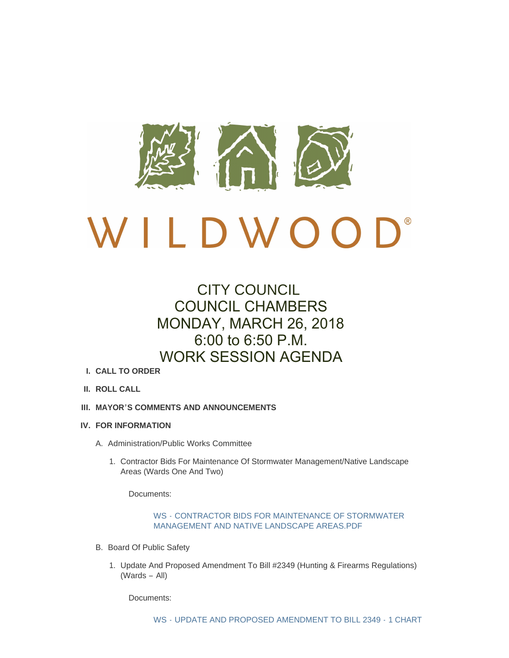

# CITY COUNCIL COUNCIL CHAMBERS MONDAY, MARCH 26, 2018 6:00 to 6:50 P.M. WORK SESSION AGENDA

- **CALL TO ORDER I.**
- **ROLL CALL II.**
- **MAYOR'S COMMENTS AND ANNOUNCEMENTS III.**
- **FOR INFORMATION IV.**
	- A. Administration/Public Works Committee
		- 1. Contractor Bids For Maintenance Of Stormwater Management/Native Landscape Areas (Wards One And Two)

Documents:

# WS - [CONTRACTOR BIDS FOR MAINTENANCE OF STORMWATER](http://www.cityofwildwood.com/AgendaCenter/ViewFile/Item/14710?fileID=20231)  MANAGEMENT AND NATIVE LANDSCAPE AREAS.PDF

- B. Board Of Public Safety
	- 1. Update And Proposed Amendment To Bill #2349 (Hunting & Firearms Regulations) (Wards – All)

Documents: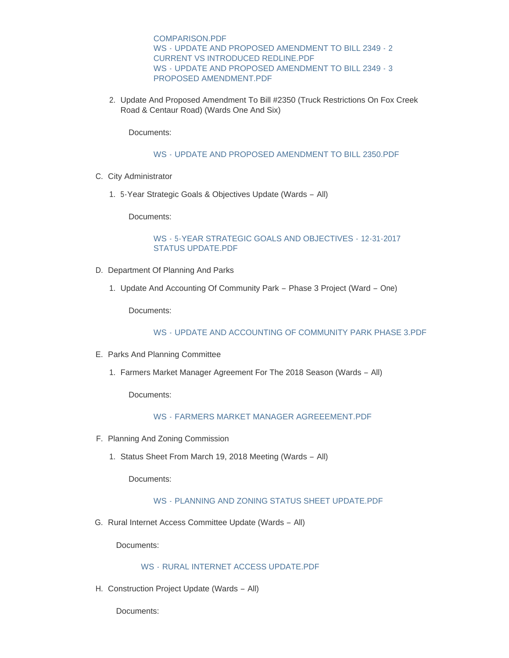COMPARISON.PDF WS - [UPDATE AND PROPOSED AMENDMENT TO BILL 2349 -](http://www.cityofwildwood.com/AgendaCenter/ViewFile/Item/14712?fileID=20239) 2 CURRENT VS INTRODUCED REDLINE.PDF WS - [UPDATE AND PROPOSED AMENDMENT TO BILL 2349 -](http://www.cityofwildwood.com/AgendaCenter/ViewFile/Item/14712?fileID=20240) 3 PROPOSED AMENDMENT.PDF

2. Update And Proposed Amendment To Bill #2350 (Truck Restrictions On Fox Creek Road & Centaur Road) (Wards One And Six)

Documents:

WS - [UPDATE AND PROPOSED AMENDMENT TO BILL 2350.PDF](http://www.cityofwildwood.com/AgendaCenter/ViewFile/Item/14713?fileID=20242)

- C. City Administrator
	- 5-Year Strategic Goals & Objectives Update (Wards All) 1.

Documents:

#### WS - [5-YEAR STRATEGIC GOALS AND OBJECTIVES -](http://www.cityofwildwood.com/AgendaCenter/ViewFile/Item/14715?fileID=20274) 12-31-2017 STATUS UPDATE.PDF

- D. Department Of Planning And Parks
	- 1. Update And Accounting Of Community Park Phase 3 Project (Ward One)

Documents:

WS - [UPDATE AND ACCOUNTING OF COMMUNITY PARK PHASE 3.PDF](http://www.cityofwildwood.com/AgendaCenter/ViewFile/Item/14717?fileID=20232)

- E. Parks And Planning Committee
	- 1. Farmers Market Manager Agreement For The 2018 Season (Wards All)

Documents:

# WS - [FARMERS MARKET MANAGER AGREEEMENT.PDF](http://www.cityofwildwood.com/AgendaCenter/ViewFile/Item/14719?fileID=20233)

- F. Planning And Zoning Commission
	- 1. Status Sheet From March 19, 2018 Meeting (Wards All)

Documents:

#### WS - PLANNING AND ZONING STATUS SHEET UPDATE PDF

G. Rural Internet Access Committee Update (Wards - All)

Documents:

# WS - [RURAL INTERNET ACCESS UPDATE.PDF](http://www.cityofwildwood.com/AgendaCenter/ViewFile/Item/14722?fileID=20235)

H. Construction Project Update (Wards - All)

Documents: